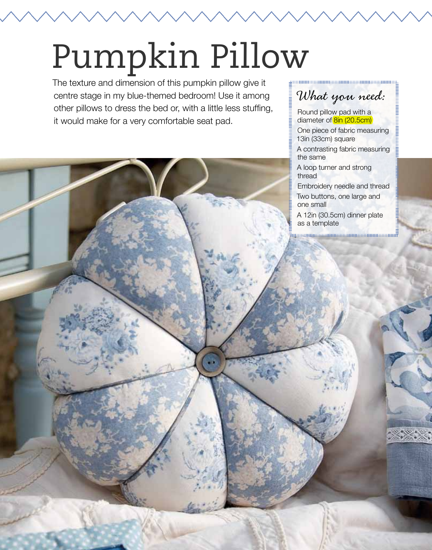## Pumpkin Pillow

The texture and dimension of this pumpkin pillow give it centre stage in my blue-themed bedroom! Use it among other pillows to dress the bed or, with a little less stuffing, it would make for a very comfortable seat pad.

## What you need:

good and a complete the magnetic contract of the set of the set of the set of the set of the set of the set of

Round pillow pad with a diameter of **8in (20.5cm)** 

One piece of fabric measuring 13in (33cm) square

A contrasting fabric measuring the same

A loop turner and strong thread

Embroidery needle and thread

Two buttons, one large and one small

A 12in (30.5cm) dinner plate as a template

monomining and a monomining and a